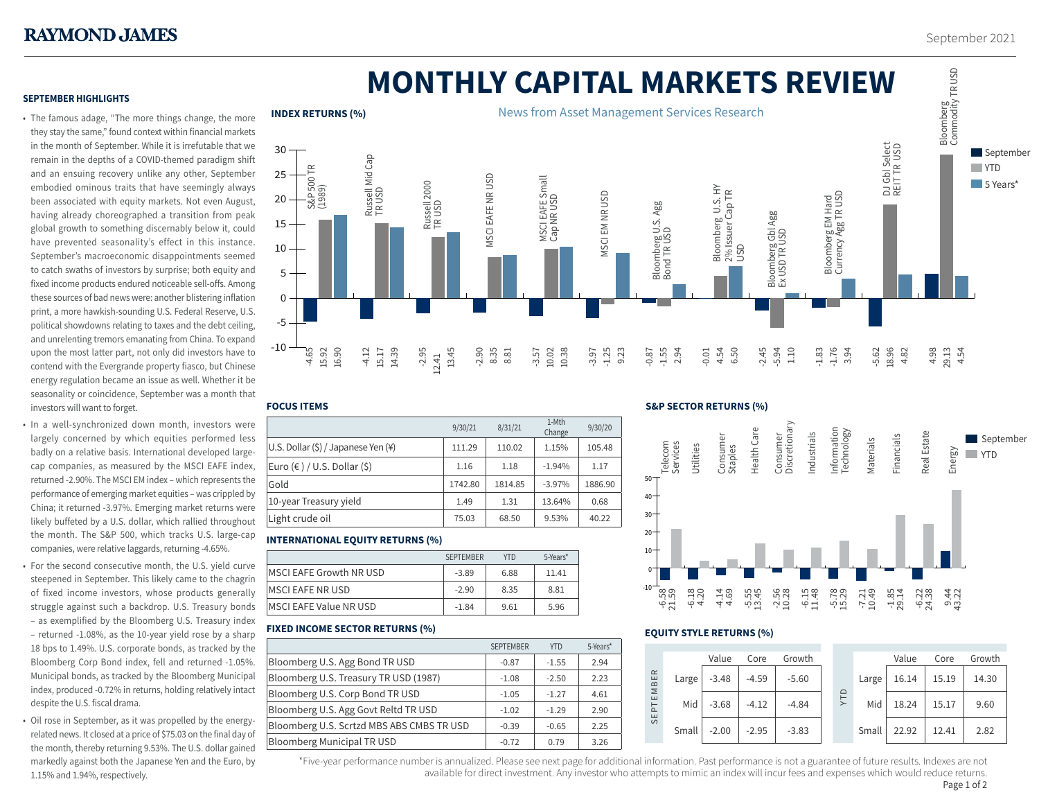# **MONTHLY CAPITAL MARKETS REVIEW**

# **SEPTEMBER HIGHLIGHTS**

- The famous adage, "The more things change, the more they stay the same," found context within financial markets in the month of September. While it is irrefutable that we remain in the depths of a COVID-themed paradigm shift and an ensuing recovery unlike any other, September embodied ominous traits that have seemingly always been associated with equity markets. Not even August, having already choreographed a transition from peak global growth to something discernably below it, could have prevented seasonality's effect in this instance. September's macroeconomic disappointments seemed to catch swaths of investors by surprise; both equity and fixed income products endured noticeable sell-offs. Among these sources of bad news were: another blistering inflation print, a more hawkish-sounding U.S. Federal Reserve, U.S. political showdowns relating to taxes and the debt ceiling, and unrelenting tremors emanating from China. To expand upon the most latter part, not only did investors have to contend with the Evergrande property fiasco, but Chinese energy regulation became an issue as well. Whether it be seasonality or coincidence, September was a month that investors will want to forget.
- In a well-synchronized down month, investors were largely concerned by which equities performed less badly on a relative basis. International developed largecap companies, as measured by the MSCI EAFE index, returned -2.90%. The MSCI EM index – which represents the performance of emerging market equities – was crippled by China; it returned -3.97%. Emerging market returns were likely buffeted by a U.S. dollar, which rallied throughout the month. The S&P 500, which tracks U.S. large-cap companies, were relative laggards, returning -4.65%.
- For the second consecutive month, the U.S. yield curve steepened in September. This likely came to the chagrin of fixed income investors, whose products generally struggle against such a backdrop. U.S. Treasury bonds – as exemplified by the Bloomberg U.S. Treasury index – returned -1.08%, as the 10-year yield rose by a sharp 18 bps to 1.49%. U.S. corporate bonds, as tracked by the Bloomberg Corp Bond index, fell and returned -1.05%. Municipal bonds, as tracked by the Bloomberg Municipal index, produced -0.72% in returns, holding relatively intact despite the U.S. fiscal drama.
- Oil rose in September, as it was propelled by the energyrelated news. It closed at a price of \$75.03 on the final day of the month, thereby returning 9.53%. The U.S. dollar gained markedly against both the Japanese Yen and the Euro, by 1.15% and 1.94%, respectively.



#### **FOCUS ITEMS**

|                                     | 9/30/21 | 8/31/21 | 1-Mth<br>Change | 9/30/20 |
|-------------------------------------|---------|---------|-----------------|---------|
| U.S. Dollar (\$) / Japanese Yen (¥) | 111.29  | 110.02  | 1.15%           | 105.48  |
| Euro (€ ) / U.S. Dollar (\$)        | 1.16    | 1.18    | $-1.94%$        | 1.17    |
| Gold                                | 1742.80 | 1814.85 | $-3.97%$        | 1886.90 |
| 10-year Treasury yield              | 1.49    | 1.31    | 13.64%          | 0.68    |
| Light crude oil                     | 75.03   | 68.50   | 9.53%           | 40.22   |

# **INTERNATIONAL EQUITY RETURNS (%)**

|                         | <b>SEPTEMBER</b> | <b>YTD</b> | 5-Years* |  |
|-------------------------|------------------|------------|----------|--|
| MSCI EAFE Growth NR USD | $-3.89$          | 6.88       | 11.41    |  |
| MSCI EAFE NR USD        | $-2.90$          | 8.35       | 8.81     |  |
| MSCI EAFE Value NR USD  | $-1.84$          | 9.61       | 5.96     |  |
|                         |                  |            |          |  |

# **FIXED INCOME SECTOR RETURNS (%)**

|                                           | <b>SEPTEMBER</b> | <b>YTD</b> | 5-Years* |
|-------------------------------------------|------------------|------------|----------|
| Bloomberg U.S. Agg Bond TR USD            | $-0.87$          | $-1.55$    | 2.94     |
| Bloomberg U.S. Treasury TR USD (1987)     | $-1.08$          | $-2.50$    | 2.23     |
| Bloomberg U.S. Corp Bond TR USD           | $-1.05$          | $-1.27$    | 4.61     |
| Bloomberg U.S. Agg Govt Reltd TR USD      | $-1.02$          | $-1.29$    | 2.90     |
| Bloomberg U.S. Scrtzd MBS ABS CMBS TR USD | $-0.39$          | $-0.65$    | 2.25     |
| <b>Bloomberg Municipal TR USD</b>         | $-0.72$          | 0.79       | 3.26     |

## **S&P SECTOR RETURNS (%)**



## **EQUITY STYLE RETURNS (%)**

|                                                              |       | Value   | Core    | Growth  |  |                |       | Value | Core  | Growth |
|--------------------------------------------------------------|-------|---------|---------|---------|--|----------------|-------|-------|-------|--------|
| $\simeq$<br>EMBEI<br>$\overline{\mathsf{P}}$<br>ш<br>$\circ$ | Large | $-3.48$ | $-4.59$ | $-5.60$ |  | $\Omega$<br>ΣĪ | Large | 16.14 | 15.19 | 14.30  |
|                                                              | Mid   | $-3.68$ | $-4.12$ | $-4.84$ |  |                | Mid   | 18.24 | 15.17 | 9.60   |
|                                                              | Small | $-2.00$ | $-2.95$ | $-3.83$ |  |                | Small | 22.92 | 12.41 | 2.82   |

\*Five-year performance number is annualized. Please see next page for additional information. Past performance is not a guarantee of future results. Indexes are not 1 available for direct investment. Any investor who attempts to mimic an index will incur fees and expenses which would reduce returns. Page 1 of 2